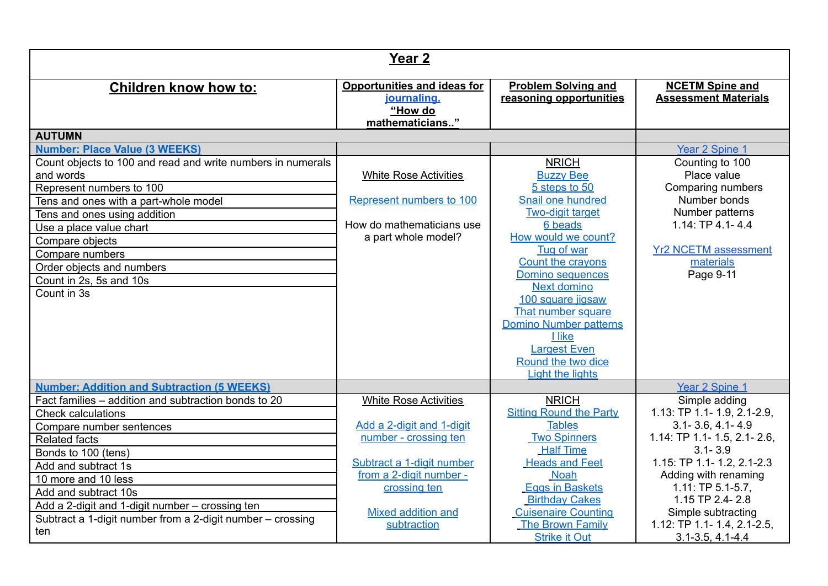| Year <sub>2</sub>                                                                                                                                                                                                                                                                                                                                             |                                                                                                                                                                                                 |                                                                                                                                                                                                                                                                                                                                                                                             |                                                                                                                                                                                                                                                                                                      |  |
|---------------------------------------------------------------------------------------------------------------------------------------------------------------------------------------------------------------------------------------------------------------------------------------------------------------------------------------------------------------|-------------------------------------------------------------------------------------------------------------------------------------------------------------------------------------------------|---------------------------------------------------------------------------------------------------------------------------------------------------------------------------------------------------------------------------------------------------------------------------------------------------------------------------------------------------------------------------------------------|------------------------------------------------------------------------------------------------------------------------------------------------------------------------------------------------------------------------------------------------------------------------------------------------------|--|
| <b>Children know how to:</b>                                                                                                                                                                                                                                                                                                                                  | <b>Opportunities and ideas for</b><br>journaling.<br>"How do<br>mathematicians"                                                                                                                 | <b>Problem Solving and</b><br>reasoning opportunities                                                                                                                                                                                                                                                                                                                                       | <b>NCETM Spine and</b><br><b>Assessment Materials</b>                                                                                                                                                                                                                                                |  |
| <b>AUTUMN</b>                                                                                                                                                                                                                                                                                                                                                 |                                                                                                                                                                                                 |                                                                                                                                                                                                                                                                                                                                                                                             |                                                                                                                                                                                                                                                                                                      |  |
| <b>Number: Place Value (3 WEEKS)</b><br>Count objects to 100 and read and write numbers in numerals<br>and words<br>Represent numbers to 100<br>Tens and ones with a part-whole model<br>Tens and ones using addition<br>Use a place value chart<br>Compare objects<br>Compare numbers<br>Order objects and numbers<br>Count in 2s, 5s and 10s<br>Count in 3s | <b>White Rose Activities</b><br>Represent numbers to 100<br>How do mathematicians use<br>a part whole model?                                                                                    | <b>NRICH</b><br><b>Buzzy Bee</b><br>5 steps to 50<br>Snail one hundred<br><b>Two-digit target</b><br>6 beads<br>How would we count?<br>Tug of war<br>Count the crayons<br><b>Domino sequences</b><br><b>Next domino</b><br>100 square jigsaw<br>That number square<br><b>Domino Number patterns</b><br><b>Llike</b><br><b>Largest Even</b><br>Round the two dice<br><b>Light the lights</b> | Year 2 Spine 1<br>Counting to 100<br>Place value<br>Comparing numbers<br>Number bonds<br>Number patterns<br>$1.14$ : TP 4.1-4.4<br><b>Yr2 NCETM assessment</b><br>materials<br>Page 9-11                                                                                                             |  |
| <b>Number: Addition and Subtraction (5 WEEKS)</b>                                                                                                                                                                                                                                                                                                             |                                                                                                                                                                                                 |                                                                                                                                                                                                                                                                                                                                                                                             | Year 2 Spine 1                                                                                                                                                                                                                                                                                       |  |
| Fact families - addition and subtraction bonds to 20<br><b>Check calculations</b><br>Compare number sentences<br><b>Related facts</b><br>Bonds to 100 (tens)<br>Add and subtract 1s<br>10 more and 10 less<br>Add and subtract 10s<br>Add a 2-digit and 1-digit number - crossing ten<br>Subtract a 1-digit number from a 2-digit number - crossing<br>ten    | <b>White Rose Activities</b><br>Add a 2-digit and 1-digit<br>number - crossing ten<br>Subtract a 1-digit number<br>from a 2-digit number -<br>crossing ten<br>Mixed addition and<br>subtraction | <b>NRICH</b><br><b>Sitting Round the Party</b><br><b>Tables</b><br><b>Two Spinners</b><br><b>Half Time</b><br><b>Heads and Feet</b><br><b>Noah</b><br><b>Eggs in Baskets</b><br><b>Birthday Cakes</b><br><b>Cuisenaire Counting</b><br>The Brown Family<br><b>Strike it Out</b>                                                                                                             | Simple adding<br>1.13: TP 1.1- 1.9, 2.1-2.9,<br>$3.1 - 3.6, 4.1 - 4.9$<br>1.14: TP 1.1- 1.5, 2.1- 2.6,<br>$3.1 - 3.9$<br>1.15: TP 1.1- 1.2, 2.1-2.3<br>Adding with renaming<br>$1.11: TP 5.1-5.7,$<br>1.15 TP 2.4-2.8<br>Simple subtracting<br>1.12: TP 1.1- 1.4, 2.1-2.5,<br>$3.1 - 3.5, 4.1 - 4.4$ |  |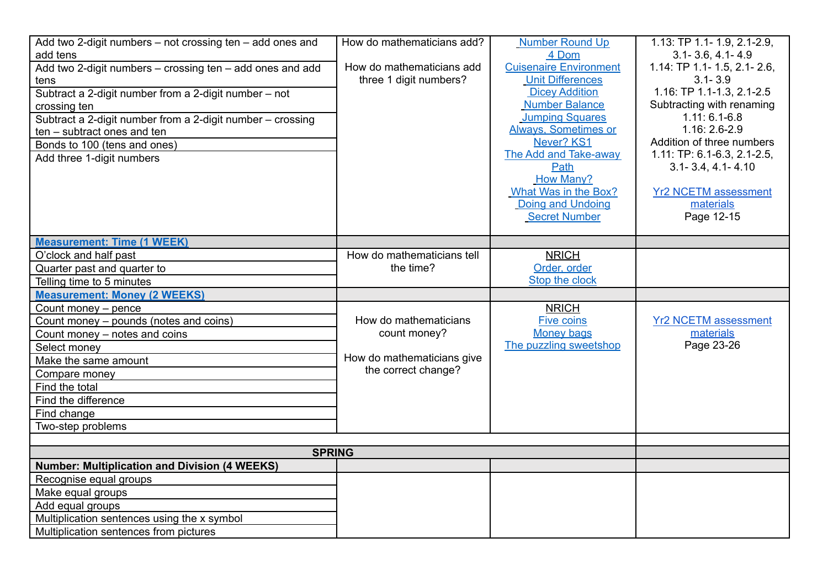| Add two 2-digit numbers – not crossing ten – add ones and<br>add tens<br>Add two 2-digit numbers - crossing ten - add ones and add<br>tens<br>Subtract a 2-digit number from a 2-digit number - not<br>crossing ten<br>Subtract a 2-digit number from a 2-digit number - crossing<br>ten - subtract ones and ten<br>Bonds to 100 (tens and ones)<br>Add three 1-digit numbers | How do mathematicians add?<br>How do mathematicians add<br>three 1 digit numbers? | <b>Number Round Up</b><br>4 Dom<br><b>Cuisenaire Environment</b><br><b>Unit Differences</b><br><b>Dicey Addition</b><br><b>Number Balance</b><br><b>Jumping Squares</b><br><b>Always, Sometimes or</b><br>Never? KS1<br>The Add and Take-away<br>Path<br><b>How Many?</b><br>What Was in the Box?<br>Doing and Undoing<br><b>Secret Number</b> | 1.13: TP 1.1- 1.9, 2.1-2.9,<br>$3.1 - 3.6, 4.1 - 4.9$<br>1.14: TP 1.1- 1.5, 2.1- 2.6,<br>$3.1 - 3.9$<br>1.16: TP 1.1-1.3, 2.1-2.5<br>Subtracting with renaming<br>$1.11: 6.1 - 6.8$<br>1.16: 2.6-2.9<br>Addition of three numbers<br>1.11: TP: 6.1-6.3, 2.1-2.5,<br>$3.1 - 3.4, 4.1 - 4.10$<br><b>Yr2 NCETM assessment</b><br>materials<br>Page 12-15 |
|-------------------------------------------------------------------------------------------------------------------------------------------------------------------------------------------------------------------------------------------------------------------------------------------------------------------------------------------------------------------------------|-----------------------------------------------------------------------------------|------------------------------------------------------------------------------------------------------------------------------------------------------------------------------------------------------------------------------------------------------------------------------------------------------------------------------------------------|-------------------------------------------------------------------------------------------------------------------------------------------------------------------------------------------------------------------------------------------------------------------------------------------------------------------------------------------------------|
|                                                                                                                                                                                                                                                                                                                                                                               |                                                                                   |                                                                                                                                                                                                                                                                                                                                                |                                                                                                                                                                                                                                                                                                                                                       |
| <b>Measurement: Time (1 WEEK)</b>                                                                                                                                                                                                                                                                                                                                             |                                                                                   |                                                                                                                                                                                                                                                                                                                                                |                                                                                                                                                                                                                                                                                                                                                       |
| O'clock and half past                                                                                                                                                                                                                                                                                                                                                         | How do mathematicians tell                                                        | <b>NRICH</b>                                                                                                                                                                                                                                                                                                                                   |                                                                                                                                                                                                                                                                                                                                                       |
| Quarter past and quarter to                                                                                                                                                                                                                                                                                                                                                   | the time?                                                                         | Order, order<br>Stop the clock                                                                                                                                                                                                                                                                                                                 |                                                                                                                                                                                                                                                                                                                                                       |
| Telling time to 5 minutes<br><b>Measurement: Money (2 WEEKS)</b>                                                                                                                                                                                                                                                                                                              |                                                                                   |                                                                                                                                                                                                                                                                                                                                                |                                                                                                                                                                                                                                                                                                                                                       |
| Count money - pence                                                                                                                                                                                                                                                                                                                                                           |                                                                                   | <b>NRICH</b>                                                                                                                                                                                                                                                                                                                                   |                                                                                                                                                                                                                                                                                                                                                       |
| Count money – pounds (notes and coins)                                                                                                                                                                                                                                                                                                                                        | How do mathematicians                                                             | <b>Five coins</b>                                                                                                                                                                                                                                                                                                                              | <b>Yr2 NCETM assessment</b>                                                                                                                                                                                                                                                                                                                           |
| Count money - notes and coins                                                                                                                                                                                                                                                                                                                                                 | count money?                                                                      | <b>Money bags</b>                                                                                                                                                                                                                                                                                                                              | materials                                                                                                                                                                                                                                                                                                                                             |
| Select money                                                                                                                                                                                                                                                                                                                                                                  |                                                                                   | The puzzling sweetshop                                                                                                                                                                                                                                                                                                                         | Page 23-26                                                                                                                                                                                                                                                                                                                                            |
| Make the same amount                                                                                                                                                                                                                                                                                                                                                          | How do mathematicians give                                                        |                                                                                                                                                                                                                                                                                                                                                |                                                                                                                                                                                                                                                                                                                                                       |
| Compare money                                                                                                                                                                                                                                                                                                                                                                 | the correct change?                                                               |                                                                                                                                                                                                                                                                                                                                                |                                                                                                                                                                                                                                                                                                                                                       |
| Find the total                                                                                                                                                                                                                                                                                                                                                                |                                                                                   |                                                                                                                                                                                                                                                                                                                                                |                                                                                                                                                                                                                                                                                                                                                       |
| Find the difference                                                                                                                                                                                                                                                                                                                                                           |                                                                                   |                                                                                                                                                                                                                                                                                                                                                |                                                                                                                                                                                                                                                                                                                                                       |
| Find change                                                                                                                                                                                                                                                                                                                                                                   |                                                                                   |                                                                                                                                                                                                                                                                                                                                                |                                                                                                                                                                                                                                                                                                                                                       |
| Two-step problems                                                                                                                                                                                                                                                                                                                                                             |                                                                                   |                                                                                                                                                                                                                                                                                                                                                |                                                                                                                                                                                                                                                                                                                                                       |
|                                                                                                                                                                                                                                                                                                                                                                               |                                                                                   |                                                                                                                                                                                                                                                                                                                                                |                                                                                                                                                                                                                                                                                                                                                       |
| <b>SPRING</b>                                                                                                                                                                                                                                                                                                                                                                 |                                                                                   |                                                                                                                                                                                                                                                                                                                                                |                                                                                                                                                                                                                                                                                                                                                       |
| <b>Number: Multiplication and Division (4 WEEKS)</b>                                                                                                                                                                                                                                                                                                                          |                                                                                   |                                                                                                                                                                                                                                                                                                                                                |                                                                                                                                                                                                                                                                                                                                                       |
| Recognise equal groups                                                                                                                                                                                                                                                                                                                                                        |                                                                                   |                                                                                                                                                                                                                                                                                                                                                |                                                                                                                                                                                                                                                                                                                                                       |
| Make equal groups                                                                                                                                                                                                                                                                                                                                                             |                                                                                   |                                                                                                                                                                                                                                                                                                                                                |                                                                                                                                                                                                                                                                                                                                                       |
| Add equal groups                                                                                                                                                                                                                                                                                                                                                              |                                                                                   |                                                                                                                                                                                                                                                                                                                                                |                                                                                                                                                                                                                                                                                                                                                       |
| Multiplication sentences using the x symbol                                                                                                                                                                                                                                                                                                                                   |                                                                                   |                                                                                                                                                                                                                                                                                                                                                |                                                                                                                                                                                                                                                                                                                                                       |
| Multiplication sentences from pictures                                                                                                                                                                                                                                                                                                                                        |                                                                                   |                                                                                                                                                                                                                                                                                                                                                |                                                                                                                                                                                                                                                                                                                                                       |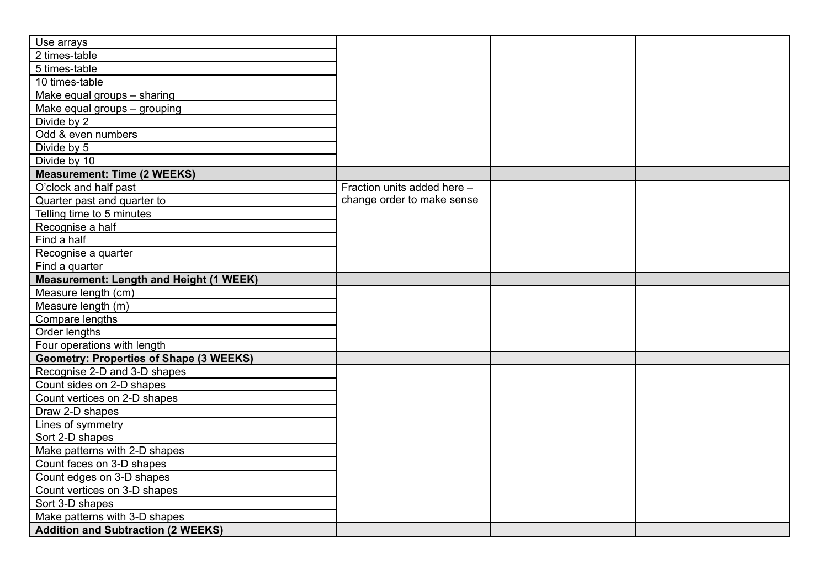| Use arrays                                     |                             |  |
|------------------------------------------------|-----------------------------|--|
| 2 times-table                                  |                             |  |
| 5 times-table                                  |                             |  |
| 10 times-table                                 |                             |  |
| Make equal groups - sharing                    |                             |  |
| Make equal groups - grouping                   |                             |  |
| Divide by 2                                    |                             |  |
| Odd & even numbers                             |                             |  |
| Divide by 5                                    |                             |  |
| Divide by 10                                   |                             |  |
| <b>Measurement: Time (2 WEEKS)</b>             |                             |  |
| O'clock and half past                          | Fraction units added here - |  |
| Quarter past and quarter to                    | change order to make sense  |  |
| Telling time to 5 minutes                      |                             |  |
| Recognise a half                               |                             |  |
| Find a half                                    |                             |  |
| Recognise a quarter                            |                             |  |
| Find a quarter                                 |                             |  |
| <b>Measurement: Length and Height (1 WEEK)</b> |                             |  |
| Measure length (cm)                            |                             |  |
| Measure length (m)                             |                             |  |
| Compare lengths                                |                             |  |
| Order lengths                                  |                             |  |
| Four operations with length                    |                             |  |
| <b>Geometry: Properties of Shape (3 WEEKS)</b> |                             |  |
| Recognise 2-D and 3-D shapes                   |                             |  |
| Count sides on 2-D shapes                      |                             |  |
| Count vertices on 2-D shapes                   |                             |  |
| Draw 2-D shapes                                |                             |  |
| Lines of symmetry                              |                             |  |
| Sort 2-D shapes                                |                             |  |
| Make patterns with 2-D shapes                  |                             |  |
| Count faces on 3-D shapes                      |                             |  |
| Count edges on 3-D shapes                      |                             |  |
| Count vertices on 3-D shapes                   |                             |  |
| Sort 3-D shapes                                |                             |  |
| Make patterns with 3-D shapes                  |                             |  |
| <b>Addition and Subtraction (2 WEEKS)</b>      |                             |  |